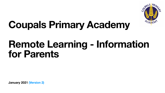**January 2021 (Version 2)**



# **Coupals Primary Academy Remote Learning - Information for Parents**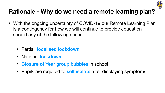#### **Rationale - Why do we need a remote learning plan?**

• With the ongoing uncertainty of COVID-19 our Remote Learning Plan is a contingency for how we will continue to provide education

- should any of the following occur:
	- Partial, **localised lockdown**
	- **•** National **lockdown**
	- **Closure of Year group bubbles** in school
	-

• Pupils are required to **self isolate** after displaying symptoms

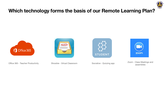#### **Which technology forms the basis of our Remote Learning Plan?**





Office 365 - Teacher Productivity





Showbie - Virtual Classroom Socrative - Quizzing app Zoom - Class Meetings and<br>assemblies

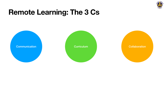## **Remote Learning: The 3 Cs**

Communication Curriculum Collaboration

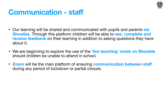### **Communication - staff**

- Our learning will be shared and communicated with pupils and parents **via Showbie**. Through this platform children will be able to **see, complete and receive feedback** on their learning in addition to asking questions they have about it.
- We are beginning to explore the use of the **'live teaching' mode on Showbie** should children be unable to attend in school.
- **Zoom** will be the main platform of ensuring **communication between staf** during any period of lockdown or partial closure.



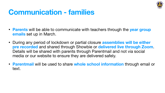### **Communication - families**

• **Parents** will be able to communicate with teachers through the **year group** 

• During any period of lockdown or partial closure **assemblies will be either pre recorded** and shared through Showbie or **delivered live through Zoom**. Details will be shared with parents through Parentmail and not via social

- **emails** set up in March.
- media or our website to ensure they are delivered safely.
- text.



• **Parentmail** will be used to share **whole school information** through email or

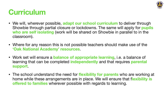### **Curriculum**

- classroom).
- **'Oak National Academy' resources**.
- **support**.
- **offered to families** wherever possible with regards to learning.

• We will, wherever possible, **adapt our school curriculum** to deliver through Showbie through partial closure or lockdowns. The same will apply for **pupils who are self isolating** (work will be shared on Showbie in parallel to in the

• Where for any reason this is not possible teachers should make use of the

• Work set will ensure a **balance of appropriate learning**, i.e. a balance of learning that can be completed **independently** and that requires **parental** 

• The school understand the need for **flexibility for parents** who are working at home while these arrangements are in place. We will ensure that f**lexibility is** 

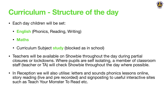### **Curriculum - Structure of the day**

- Each day children will be set:
	- **English** (Phonics, Reading, Writing)
	- **Maths**
	- Curriculum Subject **study** (blocked as in school)
- Teachers will be available on Showbie throughout the day during partial
- such as Teach Your Monster To Read etc.

closures or lockdowns. Where pupils are self isolating, a member of classroom staff (teacher or TA) will check Showbie throughout the day where possible.

• In Reception we will also utilise: letters and sounds phonics lessons online, story reading (live and pre recorded) and signposting to useful interactive sites

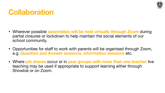### **Collaboration**

#### • Wherever possible **assemblies will be held virtually through Zoom** during partial closures or lockdown to help maintain the social elements of our

• Opportunities for staff to work with parents will be organised through Zoom,

- school community.
- e.g. **Question and Answer sessions, information sessions** etc.
- teaching may be used if appropriate to support learning either through Showbie or on Zoom.

• Where **job shares** occur or in **year groups with more than one teacher** live